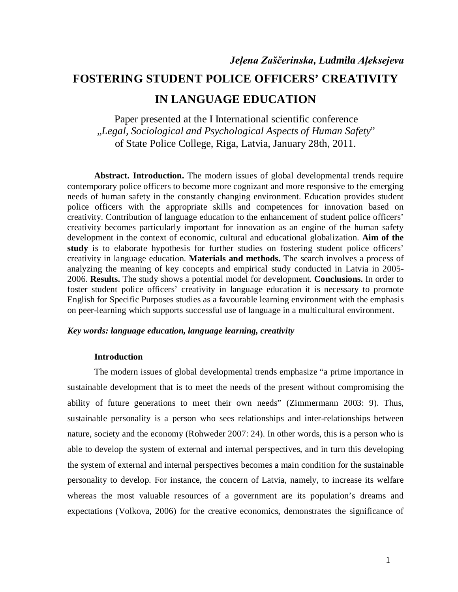Paper presented at the I International scientific conference "*Legal, Sociological and Psychological Aspects of Human Safety*" of State Police College, Riga, Latvia, January 28th, 2011.

**Abstract. Introduction.** The modern issues of global developmental trends require contemporary police officers to become more cognizant and more responsive to the emerging needs of human safety in the constantly changing environment. Education provides student police officers with the appropriate skills and competences for innovation based on creativity. Contribution of language education to the enhancement of student police officers' creativity becomes particularly important for innovation as an engine of the human safety development in the context of economic, cultural and educational globalization. **Aim of the study** is to elaborate hypothesis for further studies on fostering student police officers' creativity in language education. **Materials and methods.** The search involves a process of analyzing the meaning of key concepts and empirical study conducted in Latvia in 2005- 2006. **Results.** The study shows a potential model for development. **Conclusions.** In order to foster student police officers' creativity in language education it is necessary to promote English for Specific Purposes studies as a favourable learning environment with the emphasis on peer-learning which supports successful use of language in a multicultural environment.

## *Key words: language education, language learning, creativity*

### **Introduction**

The modern issues of global developmental trends emphasize "a prime importance in sustainable development that is to meet the needs of the present without compromising the ability of future generations to meet their own needs" (Zimmermann 2003: 9). Thus, sustainable personality is a person who sees relationships and inter-relationships between nature, society and the economy (Rohweder 2007: 24). In other words, this is a person who is able to develop the system of external and internal perspectives, and in turn this developing the system of external and internal perspectives becomes a main condition for the sustainable personality to develop. For instance, the concern of Latvia, namely, to increase its welfare whereas the most valuable resources of a government are its population's dreams and expectations (Volkova, 2006) for the creative economics, demonstrates the significance of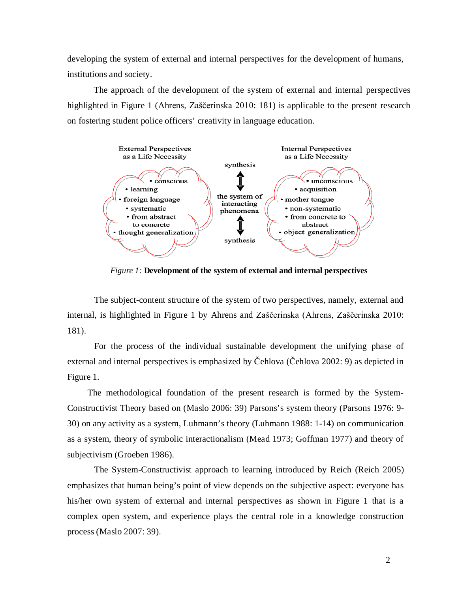developing the system of external and internal perspectives for the development of humans, institutions and society.

The approach of the development of the system of external and internal perspectives highlighted in Figure 1 (Ahrens, Zaščerinska 2010: 181) is applicable to the present research on fostering student police officers' creativity in language education.



*Figure 1:* **Development of the system of external and internal perspectives**

The subject-content structure of the system of two perspectives, namely, external and internal, is highlighted in Figure 1 by Ahrens and Zaščerinska (Ahrens, Zaščerinska 2010: 181).

For the process of the individual sustainable development the unifying phase of external and internal perspectives is emphasized by Čehlova (Čehlova 2002: 9) as depicted in Figure 1.

The methodological foundation of the present research is formed by the System-Constructivist Theory based on (Maslo 2006: 39) Parsons's system theory (Parsons 1976: 9- 30) on any activity as a system, Luhmann's theory (Luhmann 1988: 1-14) on communication as a system, theory of symbolic interactionalism (Mead 1973; Goffman 1977) and theory of subjectivism (Groeben 1986).

The System-Constructivist approach to learning introduced by Reich (Reich 2005) emphasizes that human being's point of view depends on the subjective aspect: everyone has his/her own system of external and internal perspectives as shown in Figure 1 that is a complex open system, and experience plays the central role in a knowledge construction process (Maslo 2007: 39).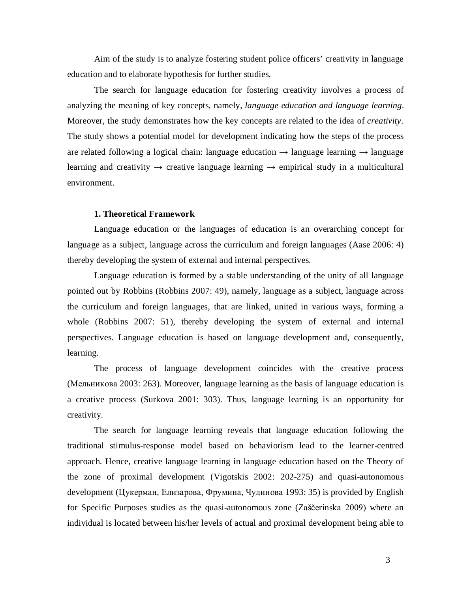Aim of the study is to analyze fostering student police officers' creativity in language education and to elaborate hypothesis for further studies.

The search for language education for fostering creativity involves a process of analyzing the meaning of key concepts, namely, *language education and language learning*. Moreover, the study demonstrates how the key concepts are related to the idea of *creativity.* The study shows a potential model for development indicating how the steps of the process are related following a logical chain: language education  $\rightarrow$  language learning  $\rightarrow$  language learning and creativity  $\rightarrow$  creative language learning  $\rightarrow$  empirical study in a multicultural environment.

## **1. Theoretical Framework**

Language education or the languages of education is an overarching concept for language as a subject, language across the curriculum and foreign languages (Aase 2006: 4) thereby developing the system of external and internal perspectives.

Language education is formed by a stable understanding of the unity of all language pointed out by Robbins (Robbins 2007: 49), namely, language as a subject, language across the curriculum and foreign languages, that are linked, united in various ways, forming a whole (Robbins 2007: 51), thereby developing the system of external and internal perspectives. Language education is based on language development and, consequently, learning.

The process of language development coincides with the creative process (Мельникова 2003: 263). Moreover, language learning as the basis of language education is a creative process (Surkova 2001: 303). Thus, language learning is an opportunity for creativity.

The search for language learning reveals that language education following the traditional stimulus-response model based on behaviorism lead to the learner-centred approach. Hence, creative language learning in language education based on the Theory of the zone of proximal development (Vigotskis 2002: 202-275) and quasi-autonomous development (Цукерман, Елизарова, Фрумина, Чудинова 1993: 35) is provided by English for Specific Purposes studies as the quasi-autonomous zone (Zaščerinska 2009) where an individual is located between his/her levels of actual and proximal development being able to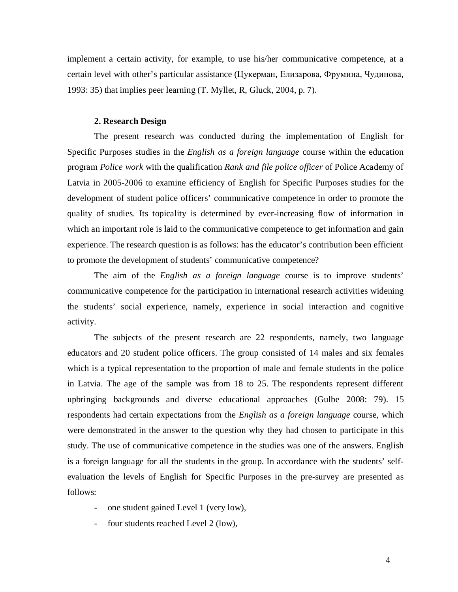implement a certain activity, for example, to use his/her communicative competence, at a certain level with other's particular assistance (Цукерман, Елизарова, Фрумина, Чудинова, 1993: 35) that implies peer learning (T. Myllet, R, Gluck, 2004, p. 7).

## **2. Research Design**

The present research was conducted during the implementation of English for Specific Purposes studies in the *English as a foreign language* course within the education program *Police work* with the qualification *Rank and file police officer* of Police Academy of Latvia in 2005-2006 to examine efficiency of English for Specific Purposes studies for the development of student police officers' communicative competence in order to promote the quality of studies. Its topicality is determined by ever-increasing flow of information in which an important role is laid to the communicative competence to get information and gain experience. The research question is as follows: has the educator's contribution been efficient to promote the development of students' communicative competence?

The aim of the *English as a foreign language* course is to improve students' communicative competence for the participation in international research activities widening the students' social experience, namely, experience in social interaction and cognitive activity.

The subjects of the present research are 22 respondents, namely, two language educators and 20 student police officers. The group consisted of 14 males and six females which is a typical representation to the proportion of male and female students in the police in Latvia. The age of the sample was from 18 to 25. The respondents represent different upbringing backgrounds and diverse educational approaches (Gulbe 2008: 79). 15 respondents had certain expectations from the *English as a foreign language* course, which were demonstrated in the answer to the question why they had chosen to participate in this study. The use of communicative competence in the studies was one of the answers. English is a foreign language for all the students in the group. In accordance with the students' selfevaluation the levels of English for Specific Purposes in the pre-survey are presented as follows:

- one student gained Level 1 (very low),
- four students reached Level 2 (low),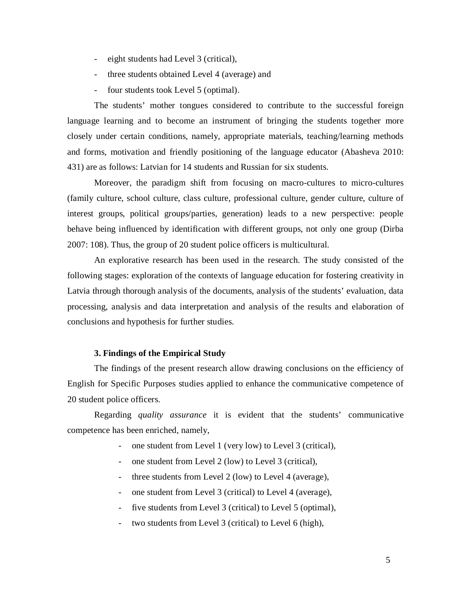- eight students had Level 3 (critical),
- three students obtained Level 4 (average) and
- four students took Level 5 (optimal).

The students' mother tongues considered to contribute to the successful foreign language learning and to become an instrument of bringing the students together more closely under certain conditions, namely, appropriate materials, teaching/learning methods and forms, motivation and friendly positioning of the language educator (Abasheva 2010: 431) are as follows: Latvian for 14 students and Russian for six students.

Moreover, the paradigm shift from focusing on macro-cultures to micro-cultures (family culture, school culture, class culture, professional culture, gender culture, culture of interest groups, political groups/parties, generation) leads to a new perspective: people behave being influenced by identification with different groups, not only one group (Dirba 2007: 108). Thus, the group of 20 student police officers is multicultural.

An explorative research has been used in the research. The study consisted of the following stages: exploration of the contexts of language education for fostering creativity in Latvia through thorough analysis of the documents, analysis of the students' evaluation, data processing, analysis and data interpretation and analysis of the results and elaboration of conclusions and hypothesis for further studies.

## **3. Findings of the Empirical Study**

The findings of the present research allow drawing conclusions on the efficiency of English for Specific Purposes studies applied to enhance the communicative competence of 20 student police officers.

Regarding *quality assurance* it is evident that the students' communicative competence has been enriched, namely,

- one student from Level 1 (very low) to Level 3 (critical),
- one student from Level 2 (low) to Level 3 (critical),
- three students from Level 2 (low) to Level 4 (average),
- one student from Level 3 (critical) to Level 4 (average),
- five students from Level 3 (critical) to Level 5 (optimal),
- two students from Level 3 (critical) to Level 6 (high),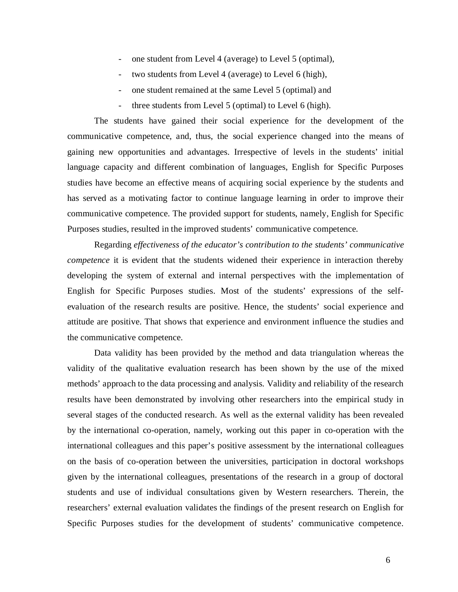- one student from Level 4 (average) to Level 5 (optimal),
- two students from Level 4 (average) to Level 6 (high),
- one student remained at the same Level 5 (optimal) and
- three students from Level 5 (optimal) to Level 6 (high).

The students have gained their social experience for the development of the communicative competence, and, thus, the social experience changed into the means of gaining new opportunities and advantages. Irrespective of levels in the students' initial language capacity and different combination of languages, English for Specific Purposes studies have become an effective means of acquiring social experience by the students and has served as a motivating factor to continue language learning in order to improve their communicative competence. The provided support for students, namely, English for Specific Purposes studies, resulted in the improved students' communicative competence.

Regarding *effectiveness of the educator's contribution to the students' communicative competence* it is evident that the students widened their experience in interaction thereby developing the system of external and internal perspectives with the implementation of English for Specific Purposes studies. Most of the students' expressions of the selfevaluation of the research results are positive. Hence, the students' social experience and attitude are positive. That shows that experience and environment influence the studies and the communicative competence.

Data validity has been provided by the method and data triangulation whereas the validity of the qualitative evaluation research has been shown by the use of the mixed methods' approach to the data processing and analysis. Validity and reliability of the research results have been demonstrated by involving other researchers into the empirical study in several stages of the conducted research. As well as the external validity has been revealed by the international co-operation, namely, working out this paper in co-operation with the international colleagues and this paper's positive assessment by the international colleagues on the basis of co-operation between the universities, participation in doctoral workshops given by the international colleagues, presentations of the research in a group of doctoral students and use of individual consultations given by Western researchers. Therein, the researchers' external evaluation validates the findings of the present research on English for Specific Purposes studies for the development of students' communicative competence.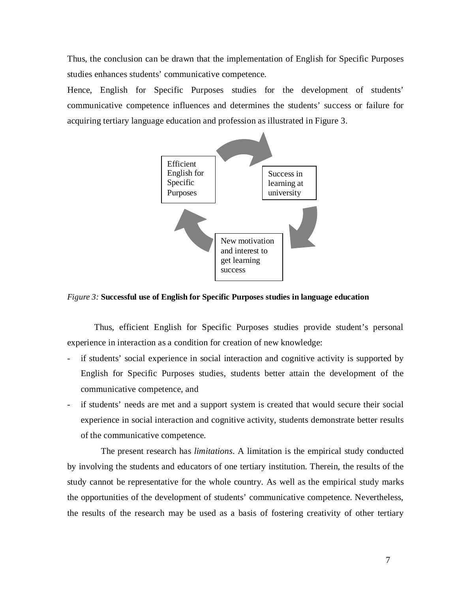Thus, the conclusion can be drawn that the implementation of English for Specific Purposes studies enhances students' communicative competence.

Hence, English for Specific Purposes studies for the development of students' communicative competence influences and determines the students' success or failure for acquiring tertiary language education and profession as illustrated in Figure 3.



*Figure 3:* **Successful use of English for Specific Purposes studies in language education**

Thus, efficient English for Specific Purposes studies provide student's personal experience in interaction as a condition for creation of new knowledge:

- if students' social experience in social interaction and cognitive activity is supported by English for Specific Purposes studies, students better attain the development of the communicative competence, and
- if students' needs are met and a support system is created that would secure their social experience in social interaction and cognitive activity, students demonstrate better results of the communicative competence.

The present research has *limitations*. A limitation is the empirical study conducted by involving the students and educators of one tertiary institution. Therein, the results of the study cannot be representative for the whole country. As well as the empirical study marks the opportunities of the development of students' communicative competence. Nevertheless, the results of the research may be used as a basis of fostering creativity of other tertiary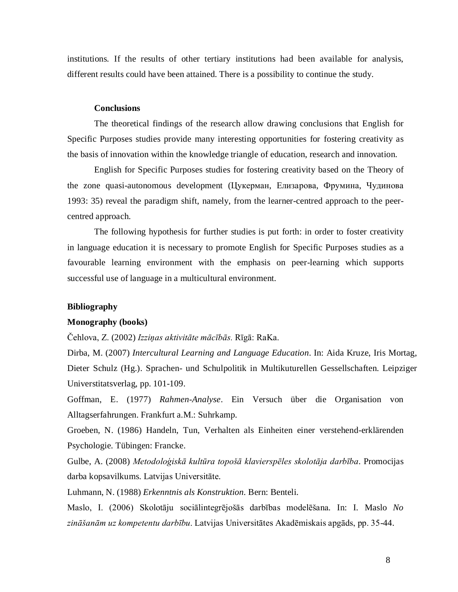institutions. If the results of other tertiary institutions had been available for analysis, different results could have been attained. There is a possibility to continue the study.

## **Conclusions**

The theoretical findings of the research allow drawing conclusions that English for Specific Purposes studies provide many interesting opportunities for fostering creativity as the basis of innovation within the knowledge triangle of education, research and innovation.

English for Specific Purposes studies for fostering creativity based on the Theory of the zone quasi-autonomous development (Цукерман, Елизарова, Фрумина, Чудинова 1993: 35) reveal the paradigm shift, namely, from the learner-centred approach to the peercentred approach.

The following hypothesis for further studies is put forth: in order to foster creativity in language education it is necessary to promote English for Specific Purposes studies as a favourable learning environment with the emphasis on peer-learning which supports successful use of language in a multicultural environment.

#### **Bibliography**

### **Monography (books)**

Čehlova, Z. (2002) *Izziņas aktivitāte mācībās.* Rīgā: RaKa.

Dirba, M. (2007) *Intercultural Learning and Language Education*. In: Aida Kruze, Iris Mortag, Dieter Schulz (Hg.). Sprachen- und Schulpolitik in Multikuturellen Gessellschaften. Leipziger Universtitatsverlag, pp. 101-109.

Goffman, E. (1977) *Rahmen-Analyse*. Ein Versuch über die Organisation von Alltagserfahrungen. Frankfurt a.M.: Suhrkamp.

Groeben, N. (1986) Handeln, Tun, Verhalten als Einheiten einer verstehend-erklärenden Psychologie. Tübingen: Francke.

Gulbe, A. (2008) *Metodoloģiskā kultūra topošā klavierspēles skolotāja darbība*. Promocijas darba kopsavilkums. Latvijas Universitāte.

Luhmann, N. (1988) *Erkenntnis als Konstruktion.* Bern: Benteli.

Maslo, I. (2006) Skolotāju sociālintegrējošās darbības modelēšana*.* In: I. Maslo *No zināšanām uz kompetentu darbību*. Latvijas Universitātes Akadēmiskais apgāds, pp. 35-44.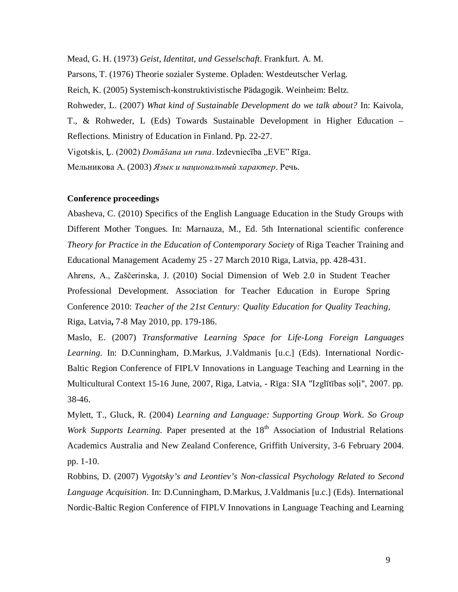Mead, G. H. (1973) *Geist, Identitat, und Gesselschaft*. Frankfurt. A. M.

Parsons, T. (1976) Theorie sozialer Systeme. Opladen: Westdeutscher Verlag.

Reich, K. (2005) Systemisch-konstruktivistische Pädagogik. Weinheim: Beltz.

Rohweder, L. (2007) *What kind of Sustainable Development do we talk about?* In: Kaivola,

T., & Rohweder, L (Eds) Towards Sustainable Development in Higher Education – Reflections. Ministry of Education in Finland. Pp. 22-27.

Vigotskis, L. (2002) *Domāšana un runa*. Izdevniecība "EVE" Rīga.

Мельникова А. (2003) *Язык и национальный характер*. Речь.

## **Conference proceedings**

Abasheva, C. (2010) Specifics of the English Language Education in the Study Groups with Different Mother Tongues. In: Marnauza, M., Ed. 5th International scientific conference *Theory for Practice in the Education of Contemporary Society* of Riga Teacher Training and Educational Management Academy 25 - 27 March 2010 Riga, Latvia, pp. 428-431.

Ahrens, A., Zaščerinska, J. (2010) Social Dimension of Web 2.0 in Student Teacher Professional Development. Association for Teacher Education in Europe Spring Conference 2010: *Teacher of the 21st Century: Quality Education for Quality Teaching*, Riga, Latvia**,** 7-8 May 2010, pp. 179-186.

Maslo, E. (2007) *Transformative Learning Space for Life-Long Foreign Languages Learning.* In: D.Cunningham, D.Markus, J.Valdmanis [u.c.] (Eds). International Nordic-Baltic Region Conference of FIPLV Innovations in Language Teaching and Learning in the Multicultural Context 15-16 June, 2007, Riga, Latvia, - Rīga: SIA "Izglītības soļi", 2007. pp. 38-46.

Mylett, T., Gluck, R. (2004) *Learning and Language: Supporting Group Work. So Group Work Supports Learning.* Paper presented at the 18<sup>th</sup> Association of Industrial Relations Academics Australia and New Zealand Conference, Griffith University, 3-6 February 2004. pp. 1-10.

Robbins, D. (2007) *Vygotsky's and Leontiev's Non-classical Psychology Related to Second Language Acquisition.* In: D.Cunningham, D.Markus, J.Valdmanis [u.c.] (Eds). International Nordic-Baltic Region Conference of FIPLV Innovations in Language Teaching and Learning